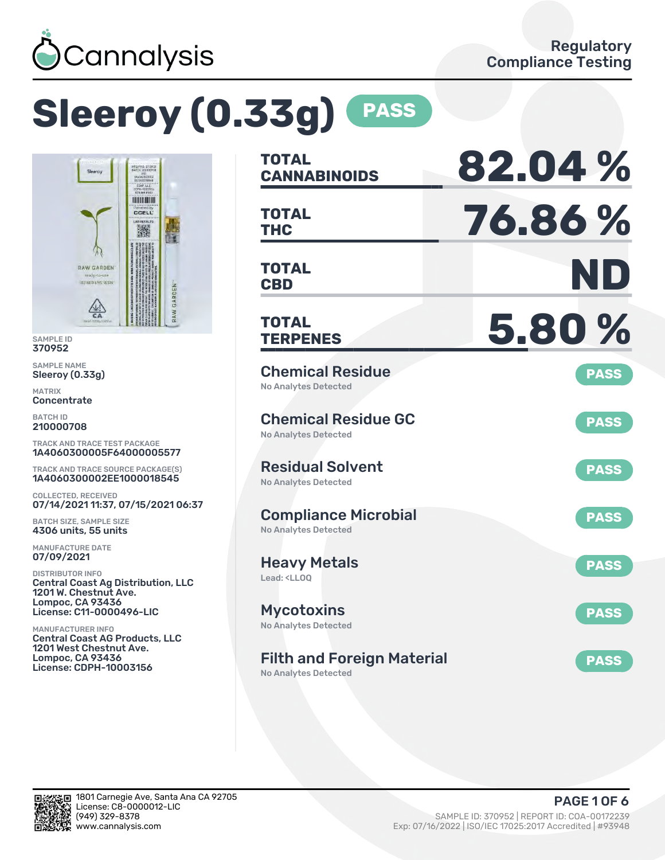

# **Sleeroy (0.33g) PASS**



SAMPLE ID 370952

SAMPLE NAME Sleeroy (0.33g)

MATRIX **Concentrate** 

BATCH ID 210000708

TRACK AND TRACE TEST PACKAGE 1A4060300005F64000005577

TRACK AND TRACE SOURCE PACKAGE(S) 1A4060300002EE1000018545

COLLECTED, RECEIVED 07/14/2021 11:37, 07/15/2021 06:37

BATCH SIZE, SAMPLE SIZE 4306 units, 55 units

MANUFACTURE DATE 07/09/2021

DISTRIBUTOR INFO Central Coast Ag Distribution, LLC 1201 W. Chestnut Ave. Lompoc, CA 93436 License: C11-0000496-LIC

MANUFACTURER INFO Central Coast AG Products, LLC 1201 West Chestnut Ave. Lompoc, CA 93436 License: CDPH-10003156

| <b>TOTAL</b><br><b>CANNABINOIDS</b>                                    | 82.04%      |
|------------------------------------------------------------------------|-------------|
| <b>TOTAL</b><br><b>THC</b>                                             | 76.86%      |
| <b>TOTAL</b><br><b>CBD</b>                                             | ND          |
| <b>TOTAL</b><br><b>TERPENES</b>                                        | 5.80%       |
| <b>Chemical Residue</b><br>No Analytes Detected                        | <b>PASS</b> |
| <b>Chemical Residue GC</b><br><b>No Analytes Detected</b>              | <b>PASS</b> |
| <b>Residual Solvent</b><br><b>No Analytes Detected</b>                 | <b>PASS</b> |
| <b>Compliance Microbial</b><br><b>No Analytes Detected</b>             | <b>PASS</b> |
| <b>Heavy Metals</b><br>Lead: <lloq< td=""><td><b>PASS</b></td></lloq<> | <b>PASS</b> |
| <b>Mycotoxins</b><br>No Analytes Detected                              | <b>PASS</b> |
| <b>Filth and Foreign Material</b><br><b>No Analytes Detected</b>       | <b>PASS</b> |

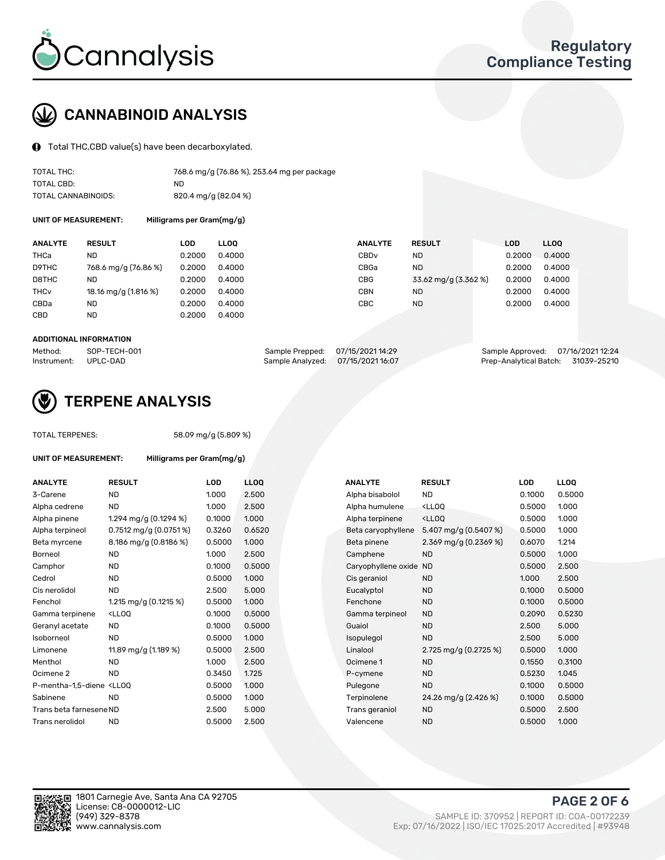

# CANNABINOID ANALYSIS

Total THC,CBD value(s) have been decarboxylated.

| TOTAL THC:          | 768.6 mg/g (76.86 %), 253.64 mg per package |
|---------------------|---------------------------------------------|
| TOTAL CBD:          | ND.                                         |
| TOTAL CANNABINOIDS: | 820.4 mg/g (82.04 %)                        |

UNIT OF MEASUREMENT: Milligrams per Gram(mg/g)

| <b>ANALYTE</b>         | <b>RESULT</b>        | LOD    | <b>LLOO</b> | <b>ANALYTE</b>   | <b>RESULT</b>        | <b>LOD</b> | <b>LLOO</b> |
|------------------------|----------------------|--------|-------------|------------------|----------------------|------------|-------------|
| THCa                   | ND                   | 0.2000 | 0.4000      | CBD <sub>v</sub> | ND.                  | 0.2000     | 0.4000      |
| D9THC                  | 768.6 mg/g (76.86 %) | 0.2000 | 0.4000      | CBGa             | ND.                  | 0.2000     | 0.4000      |
| D8THC                  | ND                   | 0.2000 | 0.4000      | CBG              | 33.62 mg/g (3.362 %) | 0.2000     | 0.4000      |
| <b>THC<sub>v</sub></b> | 18.16 mg/g (1.816 %) | 0.2000 | 0.4000      | CBN              | <b>ND</b>            | 0.2000     | 0.4000      |
| CBDa                   | ND                   | 0.2000 | 0.4000      | СВС              | <b>ND</b>            | 0.2000     | 0.4000      |
| CBD                    | ND                   | 0.2000 | 0.4000      |                  |                      |            |             |
|                        |                      |        |             |                  |                      |            |             |

#### ADDITIONAL INFORMATION

| Method:              | SOP-TECH-001 | Sample Prepped: 07/15/2021 14:29  | Sample Approved: 07/16/2021 12:24  |  |
|----------------------|--------------|-----------------------------------|------------------------------------|--|
| Instrument: UPLC-DAD |              | Sample Analyzed: 07/15/2021 16:07 | Prep-Analytical Batch: 31039-25210 |  |



## TERPENE ANALYSIS

TOTAL TERPENES: 58.09 mg/g (5.809 %)

| UNIT OF MEASUREMENT:                                                                                                             | Milligrams per Gram(mg/g)                                                                                    |            |                  |                     |                                      |            |
|----------------------------------------------------------------------------------------------------------------------------------|--------------------------------------------------------------------------------------------------------------|------------|------------------|---------------------|--------------------------------------|------------|
| <b>ANALYTE</b>                                                                                                                   | <b>RESULT</b>                                                                                                | <b>LOD</b> | LL <sub>OO</sub> | <b>ANALYTE</b>      | <b>RESULT</b>                        | <b>LOD</b> |
| 3-Carene                                                                                                                         | <b>ND</b>                                                                                                    | 1.000      | 2.500            | Alpha bisabolol     | <b>ND</b>                            | 0.1000     |
| Alpha cedrene                                                                                                                    | <b>ND</b>                                                                                                    | 1.000      | 2.500            | Alpha humulene      | <lloq< td=""><td>0.5000</td></lloq<> | 0.5000     |
| Alpha pinene                                                                                                                     | 1.294 mg/g $(0.1294\%)$                                                                                      | 0.1000     | 1.000            | Alpha terpinene     | $<$ LLOO                             | 0.5000     |
| Alpha terpineol                                                                                                                  | $0.7512$ mg/g $(0.0751\%)$                                                                                   | 0.3260     | 0.6520           | Beta caryophyllene  | 5.407 mg/g $(0.5407%)$               | 0.5000     |
| Beta myrcene                                                                                                                     | 8.186 mg/g (0.8186 %)                                                                                        | 0.5000     | 1.000            | Beta pinene         | 2.369 mg/g $(0.2369\%)$              | 0.6070     |
| Borneol                                                                                                                          | <b>ND</b>                                                                                                    | 1.000      | 2.500            | Camphene            | <b>ND</b>                            | 0.5000     |
| Camphor                                                                                                                          | <b>ND</b>                                                                                                    | 0.1000     | 0.5000           | Caryophyllene oxide | <b>ND</b>                            | 0.5000     |
| Cedrol                                                                                                                           | <b>ND</b>                                                                                                    | 0.5000     | 1.000            | Cis geraniol        | <b>ND</b>                            | 1.000      |
| Cis nerolidol                                                                                                                    | <b>ND</b>                                                                                                    | 2.500      | 5.000            | Eucalyptol          | <b>ND</b>                            | 0.1000     |
| Fenchol                                                                                                                          | 1.215 mg/g $(0.1215\%)$                                                                                      | 0.5000     | 1.000            | Fenchone            | <b>ND</b>                            | 0.1000     |
| Gamma terpinene                                                                                                                  | <ll0q< td=""><td>0.1000</td><td>0.5000</td><td>Gamma terpineol</td><td><b>ND</b></td><td>0.2090</td></ll0q<> | 0.1000     | 0.5000           | Gamma terpineol     | <b>ND</b>                            | 0.2090     |
| Geranyl acetate                                                                                                                  | <b>ND</b>                                                                                                    | 0.1000     | 0.5000           | Guaiol              | <b>ND</b>                            | 2.500      |
| Isoborneol                                                                                                                       | <b>ND</b>                                                                                                    | 0.5000     | 1.000            | Isopulegol          | <b>ND</b>                            | 2.500      |
| Limonene                                                                                                                         | 11.89 mg/g $(1.189\%)$                                                                                       | 0.5000     | 2.500            | Linalool            | 2.725 mg/g $(0.2725\%)$              | 0.5000     |
| Menthol                                                                                                                          | <b>ND</b>                                                                                                    | 1.000      | 2.500            | Ocimene 1           | <b>ND</b>                            | 0.1550     |
| Ocimene 2                                                                                                                        | <b>ND</b>                                                                                                    | 0.3450     | 1.725            | P-cymene            | <b>ND</b>                            | 0.5230     |
| P-mentha-1.5-diene <ll00< td=""><td></td><td>0.5000</td><td>1.000</td><td>Pulegone</td><td><b>ND</b></td><td>0.1000</td></ll00<> |                                                                                                              | 0.5000     | 1.000            | Pulegone            | <b>ND</b>                            | 0.1000     |
| Sabinene                                                                                                                         | <b>ND</b>                                                                                                    | 0.5000     | 1.000            | Terpinolene         | 24.26 mg/g (2.426 %)                 | 0.1000     |
| Trans beta farnesene ND                                                                                                          |                                                                                                              | 2.500      | 5.000            | Trans geraniol      | <b>ND</b>                            | 0.5000     |
| Trans nerolidol                                                                                                                  | <b>ND</b>                                                                                                    | 0.5000     | 2.500            | Valencene           | <b>ND</b>                            | 0.5000     |

| <b>ANALYTE</b>                                                                                                                                  | <b>RESULT</b>                                                                                                               | <b>LOD</b> | <b>LLOQ</b> | <b>ANALYTE</b>         | <b>RESULT</b>                                      | <b>LOD</b> | <b>LLOQ</b> |
|-------------------------------------------------------------------------------------------------------------------------------------------------|-----------------------------------------------------------------------------------------------------------------------------|------------|-------------|------------------------|----------------------------------------------------|------------|-------------|
| 3-Carene                                                                                                                                        | <b>ND</b>                                                                                                                   | 1.000      | 2.500       | Alpha bisabolol        | ND                                                 | 0.1000     | 0.5000      |
| Alpha cedrene                                                                                                                                   | <b>ND</b>                                                                                                                   | 1.000      | 2.500       | Alpha humulene         | <lloq< td=""><td>0.5000</td><td>1.000</td></lloq<> | 0.5000     | 1.000       |
| Alpha pinene                                                                                                                                    | 1.294 mg/g $(0.1294\%)$                                                                                                     | 0.1000     | 1.000       | Alpha terpinene        | <ll0q< td=""><td>0.5000</td><td>1.000</td></ll0q<> | 0.5000     | 1.000       |
| Alpha terpineol                                                                                                                                 | 0.7512 mg/g (0.0751 %)                                                                                                      | 0.3260     | 0.6520      | Beta caryophyllene     | 5.407 mg/g $(0.5407%)$                             | 0.5000     | 1.000       |
| Beta myrcene                                                                                                                                    | 8.186 mg/g (0.8186 %)                                                                                                       | 0.5000     | 1.000       | Beta pinene            | 2.369 mg/g (0.2369 %)                              | 0.6070     | 1.214       |
| Borneol                                                                                                                                         | <b>ND</b>                                                                                                                   | 1.000      | 2.500       | Camphene               | <b>ND</b>                                          | 0.5000     | 1.000       |
| Camphor                                                                                                                                         | <b>ND</b>                                                                                                                   | 0.1000     | 0.5000      | Caryophyllene oxide ND |                                                    | 0.5000     | 2.500       |
| Cedrol                                                                                                                                          | <b>ND</b>                                                                                                                   | 0.5000     | 1.000       | Cis geraniol           | <b>ND</b>                                          | 1.000      | 2.500       |
| Cis nerolidol                                                                                                                                   | <b>ND</b>                                                                                                                   | 2.500      | 5.000       | Eucalyptol             | <b>ND</b>                                          | 0.1000     | 0.5000      |
| Fenchol                                                                                                                                         | 1.215 mg/g $(0.1215 \%)$                                                                                                    | 0.5000     | 1.000       | Fenchone               | <b>ND</b>                                          | 0.1000     | 0.5000      |
| Gamma terpinene                                                                                                                                 | <lloq< td=""><td>0.1000</td><td>0.5000</td><td>Gamma terpineol</td><td><b>ND</b></td><td>0.2090</td><td>0.5230</td></lloq<> | 0.1000     | 0.5000      | Gamma terpineol        | <b>ND</b>                                          | 0.2090     | 0.5230      |
| Geranyl acetate                                                                                                                                 | ND.                                                                                                                         | 0.1000     | 0.5000      | Guaiol                 | <b>ND</b>                                          | 2.500      | 5.000       |
| Isoborneol                                                                                                                                      | <b>ND</b>                                                                                                                   | 0.5000     | 1.000       | Isopulegol             | <b>ND</b>                                          | 2.500      | 5.000       |
| Limonene                                                                                                                                        | 11.89 mg/g (1.189 %)                                                                                                        | 0.5000     | 2.500       | Linalool               | 2.725 mg/g (0.2725 %)                              | 0.5000     | 1.000       |
| Menthol                                                                                                                                         | <b>ND</b>                                                                                                                   | 1.000      | 2.500       | Ocimene 1              | <b>ND</b>                                          | 0.1550     | 0.3100      |
| Ocimene 2                                                                                                                                       | <b>ND</b>                                                                                                                   | 0.3450     | 1.725       | P-cymene               | <b>ND</b>                                          | 0.5230     | 1.045       |
| P-mentha-1,5-diene <lloq< td=""><td></td><td>0.5000</td><td>1.000</td><td>Pulegone</td><td><b>ND</b></td><td>0.1000</td><td>0.5000</td></lloq<> |                                                                                                                             | 0.5000     | 1.000       | Pulegone               | <b>ND</b>                                          | 0.1000     | 0.5000      |
| Sabinene                                                                                                                                        | <b>ND</b>                                                                                                                   | 0.5000     | 1.000       | Terpinolene            | 24.26 mg/g (2.426 %)                               | 0.1000     | 0.5000      |
| Trans beta farnesene ND                                                                                                                         |                                                                                                                             | 2.500      | 5.000       | Trans geraniol         | <b>ND</b>                                          | 0.5000     | 2.500       |
| Trans nerolidol                                                                                                                                 | <b>ND</b>                                                                                                                   | 0.5000     | 2.500       | Valencene              | <b>ND</b>                                          | 0.5000     | 1.000       |
|                                                                                                                                                 |                                                                                                                             |            |             |                        |                                                    |            |             |

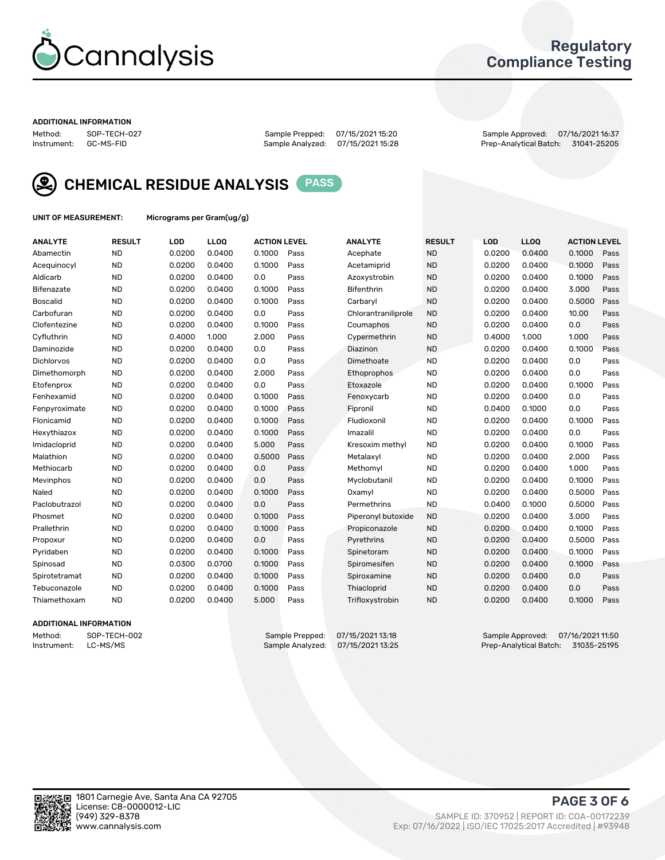

## Regulatory Compliance Testing

#### ADDITIONAL INFORMATION

Method: SOP-TECH-027 Sample Prepped: 07/15/2021 15:20 Sample Approved: 07/16/2021 16:37 Prep-Analytical Batch: 31041-25205



CHEMICAL RESIDUE ANALYSIS PASS

UNIT OF MEASUREMENT: Micrograms per Gram(ug/g)

| <b>ANALYTE</b>    | <b>RESULT</b> | LOD    | <b>LLOQ</b> | <b>ACTION LEVEL</b> |      | <b>ANALYTE</b>      | <b>RESULT</b> | LOD    | <b>LLOQ</b> | <b>ACTION LEVEL</b> |      |
|-------------------|---------------|--------|-------------|---------------------|------|---------------------|---------------|--------|-------------|---------------------|------|
| Abamectin         | <b>ND</b>     | 0.0200 | 0.0400      | 0.1000              | Pass | Acephate            | <b>ND</b>     | 0.0200 | 0.0400      | 0.1000              | Pass |
| Acequinocyl       | <b>ND</b>     | 0.0200 | 0.0400      | 0.1000              | Pass | Acetamiprid         | <b>ND</b>     | 0.0200 | 0.0400      | 0.1000              | Pass |
| Aldicarb          | <b>ND</b>     | 0.0200 | 0.0400      | 0.0                 | Pass | Azoxystrobin        | <b>ND</b>     | 0.0200 | 0.0400      | 0.1000              | Pass |
| Bifenazate        | <b>ND</b>     | 0.0200 | 0.0400      | 0.1000              | Pass | <b>Bifenthrin</b>   | <b>ND</b>     | 0.0200 | 0.0400      | 3.000               | Pass |
| <b>Boscalid</b>   | <b>ND</b>     | 0.0200 | 0.0400      | 0.1000              | Pass | Carbarvl            | <b>ND</b>     | 0.0200 | 0.0400      | 0.5000              | Pass |
| Carbofuran        | <b>ND</b>     | 0.0200 | 0.0400      | 0.0                 | Pass | Chlorantraniliprole | <b>ND</b>     | 0.0200 | 0.0400      | 10.00               | Pass |
| Clofentezine      | <b>ND</b>     | 0.0200 | 0.0400      | 0.1000              | Pass | Coumaphos           | <b>ND</b>     | 0.0200 | 0.0400      | 0.0                 | Pass |
| Cyfluthrin        | <b>ND</b>     | 0.4000 | 1.000       | 2.000               | Pass | Cypermethrin        | <b>ND</b>     | 0.4000 | 1.000       | 1.000               | Pass |
| Daminozide        | <b>ND</b>     | 0.0200 | 0.0400      | 0.0                 | Pass | Diazinon            | <b>ND</b>     | 0.0200 | 0.0400      | 0.1000              | Pass |
| <b>Dichlorvos</b> | <b>ND</b>     | 0.0200 | 0.0400      | 0.0                 | Pass | Dimethoate          | <b>ND</b>     | 0.0200 | 0.0400      | 0.0                 | Pass |
| Dimethomorph      | <b>ND</b>     | 0.0200 | 0.0400      | 2.000               | Pass | <b>Ethoprophos</b>  | <b>ND</b>     | 0.0200 | 0.0400      | 0.0                 | Pass |
| Etofenprox        | <b>ND</b>     | 0.0200 | 0.0400      | 0.0                 | Pass | Etoxazole           | <b>ND</b>     | 0.0200 | 0.0400      | 0.1000              | Pass |
| Fenhexamid        | <b>ND</b>     | 0.0200 | 0.0400      | 0.1000              | Pass | Fenoxycarb          | <b>ND</b>     | 0.0200 | 0.0400      | 0.0                 | Pass |
| Fenpyroximate     | <b>ND</b>     | 0.0200 | 0.0400      | 0.1000              | Pass | Fipronil            | <b>ND</b>     | 0.0400 | 0.1000      | 0.0                 | Pass |
| Flonicamid        | <b>ND</b>     | 0.0200 | 0.0400      | 0.1000              | Pass | Fludioxonil         | <b>ND</b>     | 0.0200 | 0.0400      | 0.1000              | Pass |
| Hexythiazox       | <b>ND</b>     | 0.0200 | 0.0400      | 0.1000              | Pass | Imazalil            | <b>ND</b>     | 0.0200 | 0.0400      | 0.0                 | Pass |
| Imidacloprid      | <b>ND</b>     | 0.0200 | 0.0400      | 5.000               | Pass | Kresoxim methyl     | <b>ND</b>     | 0.0200 | 0.0400      | 0.1000              | Pass |
| Malathion         | <b>ND</b>     | 0.0200 | 0.0400      | 0.5000              | Pass | Metalaxyl           | <b>ND</b>     | 0.0200 | 0.0400      | 2.000               | Pass |
| Methiocarb        | <b>ND</b>     | 0.0200 | 0.0400      | 0.0                 | Pass | Methomyl            | <b>ND</b>     | 0.0200 | 0.0400      | 1.000               | Pass |
| Mevinphos         | <b>ND</b>     | 0.0200 | 0.0400      | 0.0                 | Pass | Myclobutanil        | <b>ND</b>     | 0.0200 | 0.0400      | 0.1000              | Pass |
| Naled             | <b>ND</b>     | 0.0200 | 0.0400      | 0.1000              | Pass | Oxamyl              | <b>ND</b>     | 0.0200 | 0.0400      | 0.5000              | Pass |
| Paclobutrazol     | <b>ND</b>     | 0.0200 | 0.0400      | 0.0                 | Pass | Permethrins         | <b>ND</b>     | 0.0400 | 0.1000      | 0.5000              | Pass |
| Phosmet           | <b>ND</b>     | 0.0200 | 0.0400      | 0.1000              | Pass | Piperonyl butoxide  | <b>ND</b>     | 0.0200 | 0.0400      | 3.000               | Pass |
| Prallethrin       | <b>ND</b>     | 0.0200 | 0.0400      | 0.1000              | Pass | Propiconazole       | <b>ND</b>     | 0.0200 | 0.0400      | 0.1000              | Pass |
| Propoxur          | <b>ND</b>     | 0.0200 | 0.0400      | 0.0                 | Pass | Pyrethrins          | <b>ND</b>     | 0.0200 | 0.0400      | 0.5000              | Pass |
| Pyridaben         | <b>ND</b>     | 0.0200 | 0.0400      | 0.1000              | Pass | Spinetoram          | <b>ND</b>     | 0.0200 | 0.0400      | 0.1000              | Pass |
| Spinosad          | <b>ND</b>     | 0.0300 | 0.0700      | 0.1000              | Pass | Spiromesifen        | <b>ND</b>     | 0.0200 | 0.0400      | 0.1000              | Pass |
| Spirotetramat     | <b>ND</b>     | 0.0200 | 0.0400      | 0.1000              | Pass | Spiroxamine         | <b>ND</b>     | 0.0200 | 0.0400      | 0.0                 | Pass |
| Tebuconazole      | <b>ND</b>     | 0.0200 | 0.0400      | 0.1000              | Pass | Thiacloprid         | <b>ND</b>     | 0.0200 | 0.0400      | 0.0                 | Pass |
| Thiamethoxam      | <b>ND</b>     | 0.0200 | 0.0400      | 5.000               | Pass | Trifloxystrobin     | <b>ND</b>     | 0.0200 | 0.0400      | 0.1000              | Pass |

#### ADDITIONAL INFORMATION

Method: SOP-TECH-002 Sample Prepped: 07/15/2021 13:18 Sample Approved: 07/16/2021 11:50<br>Instrument: LC-MS/MS Sample Analyzed: 07/15/2021 13:25 Prep-Analytical Batch: 31035-25195 Prep-Analytical Batch: 31035-25195

PAGE 3 OF 6

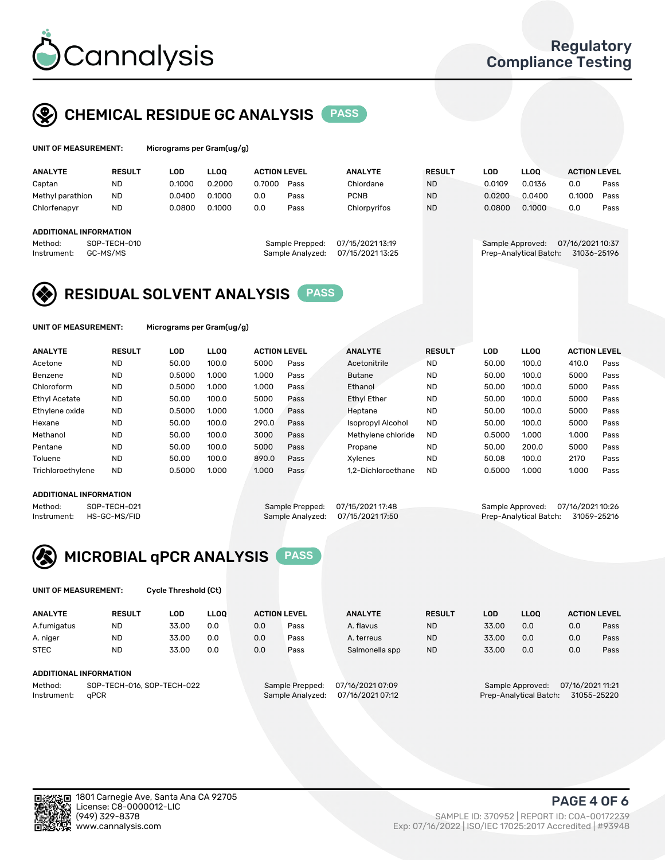

## CHEMICAL RESIDUE GC ANALYSIS PASS

| UNIT OF MEASUREMENT: | Micrograms per Gram(ug/g) |
|----------------------|---------------------------|
|                      |                           |

|  | Micrograms per Gram(ug/g) |  |
|--|---------------------------|--|
|--|---------------------------|--|

| <b>RESULT</b> | LOD                                                                    | <b>LLOO</b> |        |      | <b>ANALYTE</b>                                             | <b>RESULT</b> | LOD    | <b>LLOO</b> | <b>ACTION LEVEL</b>                        |                  |
|---------------|------------------------------------------------------------------------|-------------|--------|------|------------------------------------------------------------|---------------|--------|-------------|--------------------------------------------|------------------|
| ND            | 0.1000                                                                 | 0.2000      | 0.7000 | Pass | Chlordane                                                  | <b>ND</b>     | 0.0109 | 0.0136      | 0.0                                        | Pass             |
| <b>ND</b>     | 0.0400                                                                 | 0.1000      | 0.0    | Pass | <b>PCNB</b>                                                | <b>ND</b>     | 0.0200 | 0.0400      | 0.1000                                     | Pass             |
| <b>ND</b>     | 0.0800                                                                 | 0.1000      | 0.0    | Pass | Chlorpyrifos                                               | <b>ND</b>     | 0.0800 | 0.1000      | 0.0                                        | Pass             |
|               |                                                                        |             |        |      |                                                            |               |        |             |                                            |                  |
|               |                                                                        |             |        |      |                                                            |               |        |             |                                            |                  |
|               |                                                                        |             |        |      | 07/15/2021 13:19                                           |               |        |             |                                            |                  |
|               |                                                                        |             |        |      | 07/15/2021 13:25                                           |               |        |             | 31036-25196                                |                  |
|               | Methyl parathion<br>ADDITIONAL INFORMATION<br>SOP-TECH-010<br>GC-MS/MS |             |        |      | <b>ACTION LEVEL</b><br>Sample Prepped:<br>Sample Analyzed: |               |        |             | Sample Approved:<br>Prep-Analytical Batch: | 07/16/2021 10:37 |

## RESIDUAL SOLVENT ANALYSIS PASS

UNIT OF MEASUREMENT: Micrograms per Gram(ug/g)

| <b>ANALYTE</b>       | <b>RESULT</b> | LOD    | <b>LLOO</b> | <b>ACTION LEVEL</b> |      | <b>ANALYTE</b>           | <b>RESULT</b> | LOD    | <b>LLOO</b> | <b>ACTION LEVEL</b> |      |
|----------------------|---------------|--------|-------------|---------------------|------|--------------------------|---------------|--------|-------------|---------------------|------|
| Acetone              | <b>ND</b>     | 50.00  | 100.0       | 5000                | Pass | Acetonitrile             | <b>ND</b>     | 50.00  | 100.0       | 410.0               | Pass |
| Benzene              | <b>ND</b>     | 0.5000 | 1.000       | 1.000               | Pass | <b>Butane</b>            | <b>ND</b>     | 50.00  | 100.0       | 5000                | Pass |
| Chloroform           | <b>ND</b>     | 0.5000 | 1.000       | 1.000               | Pass | Ethanol                  | <b>ND</b>     | 50.00  | 100.0       | 5000                | Pass |
| <b>Ethyl Acetate</b> | <b>ND</b>     | 50.00  | 100.0       | 5000                | Pass | <b>Ethyl Ether</b>       | <b>ND</b>     | 50.00  | 100.0       | 5000                | Pass |
| Ethylene oxide       | <b>ND</b>     | 0.5000 | 1.000       | 1.000               | Pass | Heptane                  | <b>ND</b>     | 50.00  | 100.0       | 5000                | Pass |
| Hexane               | <b>ND</b>     | 50.00  | 100.0       | 290.0               | Pass | <b>Isopropyl Alcohol</b> | <b>ND</b>     | 50.00  | 100.0       | 5000                | Pass |
| Methanol             | <b>ND</b>     | 50.00  | 100.0       | 3000                | Pass | Methylene chloride       | <b>ND</b>     | 0.5000 | 1.000       | 1.000               | Pass |
| Pentane              | <b>ND</b>     | 50.00  | 100.0       | 5000                | Pass | Propane                  | <b>ND</b>     | 50.00  | 200.0       | 5000                | Pass |
| Toluene              | <b>ND</b>     | 50.00  | 100.0       | 890.0               | Pass | Xvlenes                  | <b>ND</b>     | 50.08  | 100.0       | 2170                | Pass |
| Trichloroethylene    | <b>ND</b>     | 0.5000 | 1.000       | 1.000               | Pass | 1.2-Dichloroethane       | <b>ND</b>     | 0.5000 | 1.000       | 1.000               | Pass |

#### ADDITIONAL INFORMATION

Method: SOP-TECH-021 Sample Prepped: 07/15/2021 17:48 Sample Approved: 07/16/2021 10:26<br>Instrument: HS-GC-MS/FID Sample Analyzed: 07/15/2021 17:50 Prep-Analytical Batch: 31059-25216 Prep-Analytical Batch: 31059-25216



UNIT OF MEASUREMENT: Cycle Threshold (Ct)

| <b>ANALYTE</b>                        | <b>RESULT</b>          | LOD   | <b>LLOO</b> |                                     | <b>ACTION LEVEL</b> | <b>ANALYTE</b>   | <b>RESULT</b>                        | <b>LOD</b> | <b>LLOO</b>            |     | <b>ACTION LEVEL</b> |
|---------------------------------------|------------------------|-------|-------------|-------------------------------------|---------------------|------------------|--------------------------------------|------------|------------------------|-----|---------------------|
| A.fumigatus                           | <b>ND</b>              | 33.00 | 0.0         | 0.0                                 | Pass                | A. flavus        | <b>ND</b>                            | 33.00      | 0.0                    | 0.0 | Pass                |
| A. niger                              | <b>ND</b>              | 33.00 | 0.0         | 0.0                                 | Pass                | A. terreus       | <b>ND</b>                            | 33.00      | 0.0                    | 0.0 | Pass                |
| <b>STEC</b>                           | <b>ND</b>              | 33.00 | 0.0         | 0.0                                 | Pass                | Salmonella spp   | <b>ND</b>                            | 33.00      | 0.0                    | 0.0 | Pass                |
|                                       | ADDITIONAL INFORMATION |       |             |                                     |                     |                  |                                      |            |                        |     |                     |
| SOP-TECH-016, SOP-TECH-022<br>Method: |                        |       |             | 07/16/2021 07:09<br>Sample Prepped: |                     |                  | 07/16/2021 11:21<br>Sample Approved: |            |                        |     |                     |
| Instrument:                           | aPCR                   |       |             |                                     | Sample Analyzed:    | 07/16/2021 07:12 |                                      |            | Prep-Analytical Batch: |     | 31055-25220         |

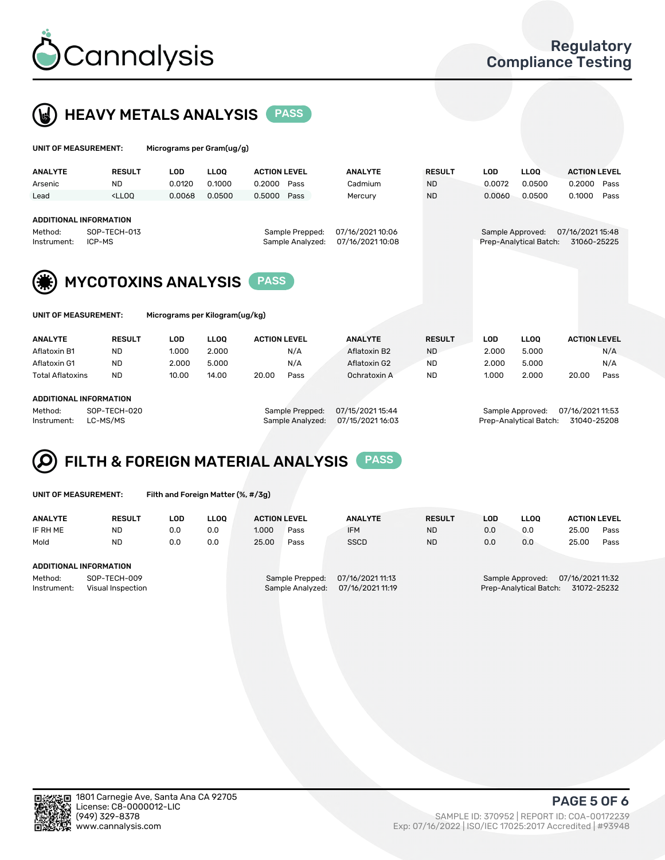

 $U$ UNIT OF MEASUREMENT: Micrograms per Gram(ug/g)



|                                           |                                                                                                                                                                     | $1.000$ eggs anno por orann (agr gr |              |                     |                                      |                                      |            |                                       |                     |  |  |  |
|-------------------------------------------|---------------------------------------------------------------------------------------------------------------------------------------------------------------------|-------------------------------------|--------------|---------------------|--------------------------------------|--------------------------------------|------------|---------------------------------------|---------------------|--|--|--|
| <b>ANALYTE</b>                            | <b>RESULT</b>                                                                                                                                                       | <b>LOD</b>                          | <b>LLOO</b>  | <b>ACTION LEVEL</b> | <b>ANALYTE</b>                       | <b>RESULT</b>                        | <b>LOD</b> | LLOO <sup>1</sup>                     | <b>ACTION LEVEL</b> |  |  |  |
| Arsenic                                   | <b>ND</b>                                                                                                                                                           | 0.0120                              | 0.1000       | 0.2000<br>Pass      | Cadmium                              | <b>ND</b>                            | 0.0072     | 0.0500                                | 0.2000<br>Pass      |  |  |  |
| Lead                                      | <lloo< td=""><td>0.0068</td><td>0.0500</td><td>0.5000<br/>Pass</td><td>Mercury</td><td><b>ND</b></td><td>0.0060</td><td>0.0500</td><td>0.1000<br/>Pass</td></lloo<> | 0.0068                              | 0.0500       | 0.5000<br>Pass      | Mercury                              | <b>ND</b>                            | 0.0060     | 0.0500                                | 0.1000<br>Pass      |  |  |  |
|                                           |                                                                                                                                                                     |                                     |              |                     |                                      |                                      |            |                                       |                     |  |  |  |
| <b>ADDITIONAL INFORMATION</b>             |                                                                                                                                                                     |                                     |              |                     |                                      |                                      |            |                                       |                     |  |  |  |
| Method:                                   | SOP-TECH-013                                                                                                                                                        |                                     |              | Sample Prepped:     |                                      | 07/16/2021 15:48<br>Sample Approved: |            |                                       |                     |  |  |  |
| Instrument:                               | ICP-MS                                                                                                                                                              |                                     |              |                     | 07/16/2021 10:08<br>Sample Analyzed: |                                      |            | Prep-Analytical Batch:<br>31060-25225 |                     |  |  |  |
|                                           |                                                                                                                                                                     |                                     |              |                     |                                      |                                      |            |                                       |                     |  |  |  |
| <b>MYCOTOXINS ANALYSIS</b><br><b>PASS</b> |                                                                                                                                                                     |                                     |              |                     |                                      |                                      |            |                                       |                     |  |  |  |
| UNIT OF MEASUREMENT:                      |                                                                                                                                                                     | Micrograms per Kilogram(ug/kg)      |              |                     |                                      |                                      |            |                                       |                     |  |  |  |
| <b>ANALYTE</b>                            | <b>RESULT</b>                                                                                                                                                       | <b>LOD</b>                          | <b>LLOO</b>  | <b>ACTION LEVEL</b> | <b>ANALYTE</b>                       | <b>RESULT</b>                        | <b>LOD</b> | <b>LLOQ</b>                           | <b>ACTION LEVEL</b> |  |  |  |
| Aflatoxin B1                              | <b>ND</b>                                                                                                                                                           | 1.000                               | N/A<br>2.000 |                     | Aflatoxin B2                         | <b>ND</b>                            | 2.000      | 5.000                                 | N/A                 |  |  |  |

Aflatoxin G1 ND 2.000 5.000 N/A Aflatoxin G2 ND 2.000 5.000 N/A Total Aflatoxins ND 10.00 14.00 20.00 Pass Ochratoxin A ND 1.000 2.000 20.00 Pass

#### ADDITIONAL INFORMATION

Method: SOP-TECH-020 Sample Prepped: 07/15/2021 15:44 Sample Approved: 07/16/2021 11:53 Instrument: LC-MS/MS Sample Analyzed: 07/15/2021 16:03 Prep-Analytical Batch: 31040-25208



UNIT OF MEASUREMENT: Filth and Foreign Matter (%, #/3g)

| <b>ANALYTE</b>         | <b>RESULT</b>                     | LOD. | <b>LLOO</b> | <b>ACTION LEVEL</b> |                                     | <b>ANALYTE</b>                       | <b>RESULT</b> | LOD | <b>LLOO</b>                                | <b>ACTION LEVEL</b>             |      |
|------------------------|-----------------------------------|------|-------------|---------------------|-------------------------------------|--------------------------------------|---------------|-----|--------------------------------------------|---------------------------------|------|
| IF RH ME               | <b>ND</b>                         | 0.0  | 0.0         | 1.000               | Pass                                | <b>IFM</b>                           | <b>ND</b>     | 0.0 | 0.0                                        | 25.00                           | Pass |
| Mold                   | <b>ND</b>                         | 0.0  | 0.0         | 25.00               | Pass                                | <b>SSCD</b>                          | <b>ND</b>     | 0.0 | 0.0                                        | 25.00                           | Pass |
| ADDITIONAL INFORMATION |                                   |      |             |                     |                                     |                                      |               |     |                                            |                                 |      |
| Method:<br>Instrument: | SOP-TECH-009<br>Visual Inspection |      |             |                     | Sample Prepped:<br>Sample Analyzed: | 07/16/2021 11:13<br>07/16/2021 11:19 |               |     | Sample Approved:<br>Prep-Analytical Batch: | 07/16/2021 11:32<br>31072-25232 |      |



PAGE 5 OF 6